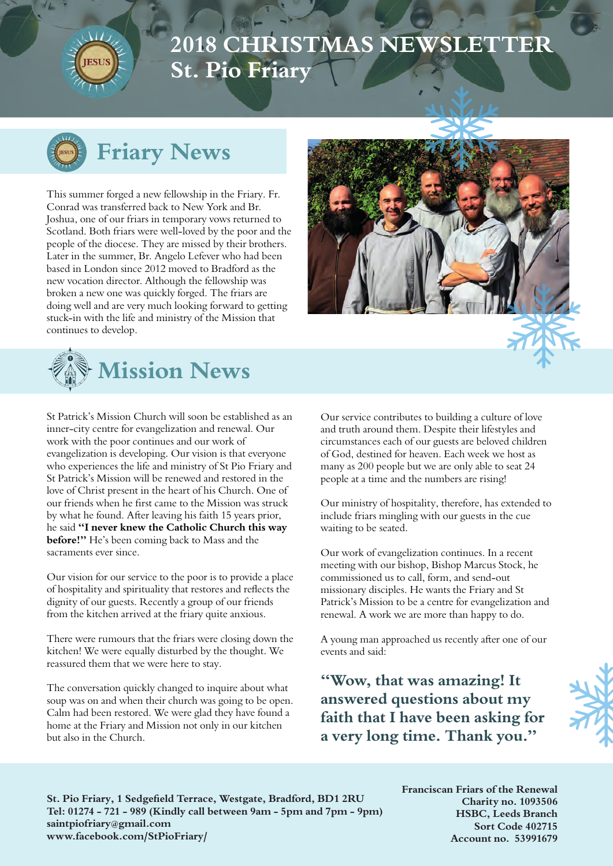

### **2018 CHRISTMAS NEWSLETTER St. Pio Friary**



## **Friary News**

This summer forged a new fellowship in the Friary. Fr. Conrad was transferred back to New York and Br. Joshua, one of our friars in temporary vows returned to Scotland. Both friars were well-loved by the poor and the people of the diocese. They are missed by their brothers. Later in the summer, Br. Angelo Lefever who had been based in London since 2012 moved to Bradford as the new vocation director. Although the fellowship was broken a new one was quickly forged. The friars are doing well and are very much looking forward to getting stuck-in with the life and ministry of the Mission that continues to develop.





St Patrick's Mission Church will soon be established as an inner-city centre for evangelization and renewal. Our work with the poor continues and our work of evangelization is developing. Our vision is that everyone who experiences the life and ministry of St Pio Friary and St Patrick's Mission will be renewed and restored in the love of Christ present in the heart of his Church. One of our friends when he first came to the Mission was struck by what he found. After leaving his faith 15 years prior, he said **"I never knew the Catholic Church this way before!"** He's been coming back to Mass and the sacraments ever since.

Our vision for our service to the poor is to provide a place of hospitality and spirituality that restores and reflects the dignity of our guests. Recently a group of our friends from the kitchen arrived at the friary quite anxious.

There were rumours that the friars were closing down the kitchen! We were equally disturbed by the thought. We reassured them that we were here to stay.

The conversation quickly changed to inquire about what soup was on and when their church was going to be open. Calm had been restored. We were glad they have found a home at the Friary and Mission not only in our kitchen but also in the Church.

Our service contributes to building a culture of love and truth around them. Despite their lifestyles and circumstances each of our guests are beloved children of God, destined for heaven. Each week we host as many as 200 people but we are only able to seat 24 people at a time and the numbers are rising!

Our ministry of hospitality, therefore, has extended to include friars mingling with our guests in the cue waiting to be seated.

Our work of evangelization continues. In a recent meeting with our bishop, Bishop Marcus Stock, he commissioned us to call, form, and send-out missionary disciples. He wants the Friary and St Patrick's Mission to be a centre for evangelization and renewal. A work we are more than happy to do.

A young man approached us recently after one of our events and said:

**"Wow, that was amazing! It answered questions about my faith that I have been asking for a very long time. Thank you."** 



**Franciscan Friars of the Renewal Charity no. 1093506 HSBC, Leeds Branch Sort Code 402715 Account no. 53991679**